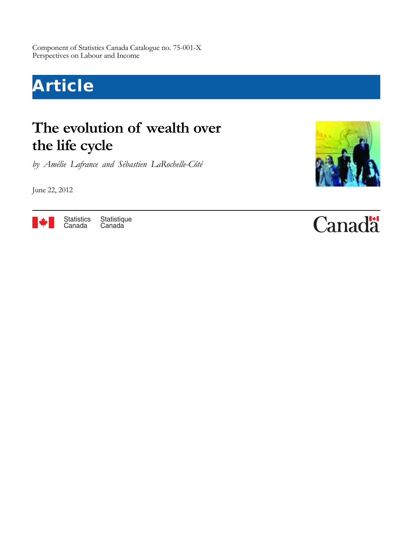Component of Statistics Canada Catalogue no. 75-001-X Perspectives on Labour and Income

# **Article**

# **The evolution of wealth over the life cycle**

*by Amélie Lafrance and Sébastien LaRochelle-Côté*

June 22, 2012



Statistique Canada Statistics Canada



# **Canada**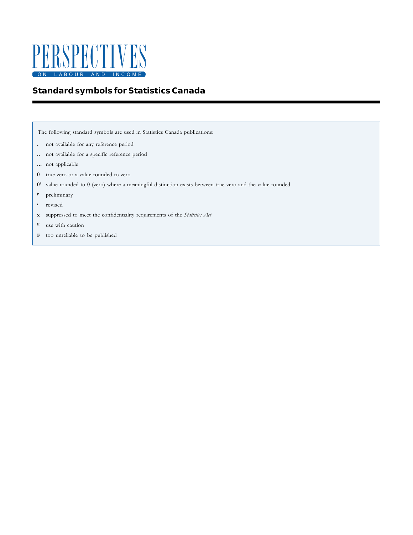

# **Standard symbols for Statistics Canada**

The following standard symbols are used in Statistics Canada publications:

- not available for any reference period **.**
- not available for a specific reference period **..**
- not applicable **...**
- true zero or a value rounded to zero **0**
- 0<sup>s</sup> value rounded to 0 (zero) where a meaningful distinction exists between true zero and the value rounded
- preliminary **p**
- revised **r**
- suppressed to meet the confidentiality requirements of the *Statistics Act* **x**
- use with caution **E**
- **F** too unreliable to be published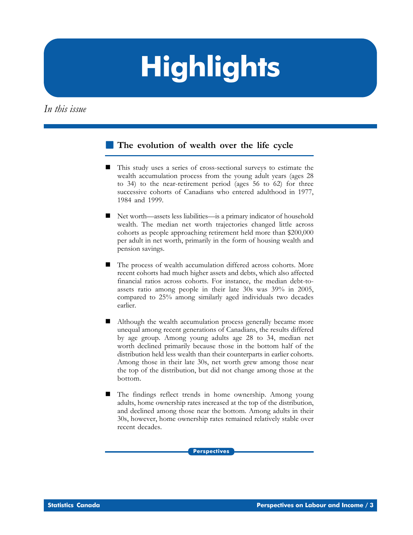# **Highlights**

*In this issue*

# **The evolution of wealth over the life cycle**

- This study uses a series of cross-sectional surveys to estimate the wealth accumulation process from the young adult years (ages 28 to 34) to the near-retirement period (ages 56 to 62) for three successive cohorts of Canadians who entered adulthood in 1977, 1984 and 1999.
- Net worth—assets less liabilities—is a primary indicator of household wealth. The median net worth trajectories changed little across cohorts as people approaching retirement held more than \$200,000 per adult in net worth, primarily in the form of housing wealth and pension savings.
- The process of wealth accumulation differed across cohorts. More recent cohorts had much higher assets and debts, which also affected financial ratios across cohorts. For instance, the median debt-toassets ratio among people in their late 30s was 39% in 2005, compared to 25% among similarly aged individuals two decades earlier.
- Although the wealth accumulation process generally became more unequal among recent generations of Canadians, the results differed by age group. Among young adults age 28 to 34, median net worth declined primarily because those in the bottom half of the distribution held less wealth than their counterparts in earlier cohorts. Among those in their late 30s, net worth grew among those near the top of the distribution, but did not change among those at the bottom.
- The findings reflect trends in home ownership. Among young adults, home ownership rates increased at the top of the distribution, and declined among those near the bottom. Among adults in their 30s, however, home ownership rates remained relatively stable over recent decades.

**Perspectives**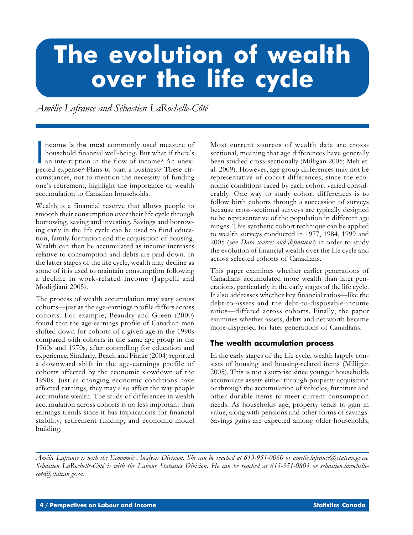# **The evolution of wealth over the life cycle**

*Amélie Lafrance and Sébastien LaRochelle-Côté*

ncome is the most commonly used measure of<br>household financial well-being. But what if there's<br>an interruption in the flow of income? An unex-<br>pected expense? Plans to start a business? These cirncome is the most commonly used measure of household financial well-being. But what if there's an interruption in the flow of income? An unexcumstances, not to mention the necessity of funding one's retirement, highlight the importance of wealth accumulation to Canadian households.

Wealth is a financial reserve that allows people to smooth their consumption over their life cycle through borrowing, saving and investing. Savings and borrowing early in the life cycle can be used to fund education, family formation and the acquisition of housing. Wealth can then be accumulated as income increases relative to consumption and debts are paid down. In the latter stages of the life cycle, wealth may decline as some of it is used to maintain consumption following a decline in work-related income (Jappelli and Modigliani 2005).

The process of wealth accumulation may vary across cohorts—just as the age-earnings profile differs across cohorts. For example, Beaudry and Green (2000) found that the age-earnings profile of Canadian men shifted down for cohorts of a given age in the 1990s compared with cohorts in the same age group in the 1960s and 1970s, after controlling for education and experience. Similarly, Beach and Finnie (2004) reported a downward shift in the age-earnings profile of cohorts affected by the economic slowdown of the 1990s. Just as changing economic conditions have affected earnings, they may also affect the way people accumulate wealth. The study of differences in wealth accumulation across cohorts is no less important than earnings trends since it has implications for financial stability, retirement funding, and economic model building.

Most current sources of wealth data are crosssectional, meaning that age differences have generally been studied cross-sectionally (Milligan 2005; Meh et. al. 2009). However, age group differences may not be representative of cohort differences, since the economic conditions faced by each cohort varied considerably. One way to study cohort differences is to follow birth cohorts through a succession of surveys because cross-sectional surveys are typically designed to be representative of the population in different age ranges. This synthetic cohort technique can be applied to wealth surveys conducted in 1977, 1984, 1999 and 2005 (see *Data sources and definitions*) in order to study the evolution of financial wealth over the life cycle and across selected cohorts of Canadians.

This paper examines whether earlier generations of Canadians accumulated more wealth than later generations, particularly in the early stages of the life cycle. It also addresses whether key financial ratios—like the debt-to-assets and the debt-to-disposable-income ratios—differed across cohorts. Finally, the paper examines whether assets, debts and net worth became more dispersed for later generations of Canadians.

# **The wealth accumulation process**

In the early stages of the life cycle, wealth largely consists of housing and housing-related items (Milligan 2005). This is not a surprise since younger households accumulate assets either through property acquisition or through the accumulation of vehicles, furniture and other durable items to meet current consumption needs. As households age, property tends to gain in value, along with pensions and other forms of savings. Savings gains are expected among older households,

*Amélie Lafrance is with the Economic Analysis Division. She can be reached at 613-951-0060 or amelie.lafrance@statcan.gc.ca. Sébastien LaRochelle-Côté is with the Labour Statistics Division. He can be reached at 613-951-0803 or sebastien.larochellecote@statcan.gc.ca.*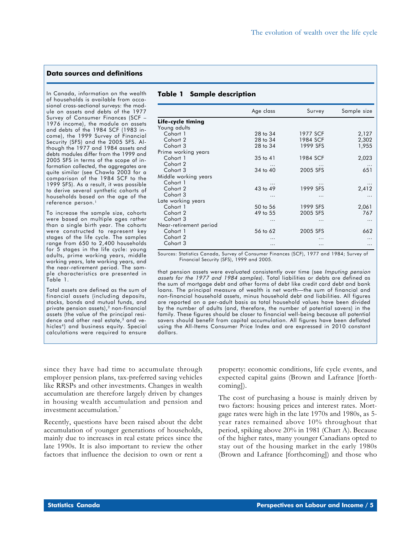#### **Data sources and definitions**

In Canada, information on the wealth of households is available from occasional cross-sectional surveys: the module on assets and debts of the 1977 Survey of Consumer Finances (SCF – 1976 income), the module on assets and debts of the 1984 SCF (1983 income), the 1999 Survey of Financial Security (SFS) and the 2005 SFS. Although the 1977 and 1984 assets and debts modules differ from the 1999 and 2005 SFS in terms of the scope of information collected, the aggregates are quite similar (see Chawla 2003 for a comparison of the 1984 SCF to the 1999 SFS). As a result, it was possible to derive several synthetic cohorts of households based on the age of the reference person.<sup>1</sup>

To increase the sample size, cohorts were based on multiple ages rather than a single birth year. The cohorts were constructed to represent key stages of the life cycle. The samples range from 650 to 2,400 households for 5 stages in the life cycle: young adults, prime working years, middle working years, late working years, and the near-retirement period. The sample characteristics are presented in Table 1.

Total assets are defined as the sum of financial assets (including deposits, stocks, bonds and mutual funds, and private pension assets),<sup>2</sup> non-financial assets (the value of the principal residence and other real estate,<sup>3</sup> and vehicles<sup>4</sup>) and business equity. Special calculations were required to ensure

### **Table 1 Sample description**

|                        | Age class |          | Sample size |  |
|------------------------|-----------|----------|-------------|--|
| Life-cycle timing      |           |          |             |  |
| Young adults           |           |          |             |  |
| Cohort 1               | 28 to 34  | 1977 SCF | 2,127       |  |
| Cohort 2               | 28 to 34  | 1984 SCF | 2,302       |  |
| Cohort 3               | 28 to 34  | 1999 SFS | 1,955       |  |
| Prime working years    |           |          |             |  |
| Cohort 1               | 35 to 41  | 1984 SCF | 2,023       |  |
| Cohort 2               |           |          | $\ddotsc$   |  |
| Cohort 3               | 34 to 40  | 2005 SFS | 651         |  |
| Middle working years   |           |          |             |  |
| Cohort 1               |           |          |             |  |
| Cohort 2               | 43 to 49  | 1999 SFS | 2,412       |  |
| Cohort 3               | .         | .        | .           |  |
| Late working years     |           |          |             |  |
| Cohort 1               | 50 to 56  | 1999 SFS | 2,061       |  |
| Cohort 2               | 49 to 55  | 2005 SFS | 767         |  |
| Cohort 3               | $\cdots$  | $\cdots$ | $\cdots$    |  |
| Near-retirement period |           |          |             |  |
| Cohort 1               | 56 to 62  | 2005 SFS | 662         |  |
| Cohort 2               |           | .        |             |  |
| Cohort 3               |           | .        |             |  |

Sources: Statistics Canada, Survey of Consumer Finances (SCF), 1977 and 1984; Survey of Financial Security (SFS), 1999 and 2005.

that pension assets were evaluated consistently over time (see Imputing pension assets for the 1977 and 1984 samples). Total liabilities or debts are defined as the sum of mortgage debt and other forms of debt like credit card debt and bank loans. The principal measure of wealth is net worth—the sum of financial and non-financial household assets, minus household debt and liabilities. All figures are reported on a per-adult basis as total household values have been divided by the number of adults (and, therefore, the number of potential savers) in the family. These figures should be closer to financial well-being because all potential savers should benefit from capital accumulation. All figures have been deflated using the All-Items Consumer Price Index and are expressed in 2010 constant dollars.

since they have had time to accumulate through employer pension plans, tax-preferred saving vehicles like RRSPs and other investments. Changes in wealth accumulation are therefore largely driven by changes in housing wealth accumulation and pension and investment accumulation.7

Recently, questions have been raised about the debt accumulation of younger generations of households, mainly due to increases in real estate prices since the late 1990s. It is also important to review the other factors that influence the decision to own or rent a

property: economic conditions, life cycle events, and expected capital gains (Brown and Lafrance [forthcoming]).

The cost of purchasing a house is mainly driven by two factors: housing prices and interest rates. Mortgage rates were high in the late 1970s and 1980s, as 5 year rates remained above 10% throughout that period, spiking above 20% in 1981 (Chart A). Because of the higher rates, many younger Canadians opted to stay out of the housing market in the early 1980s (Brown and Lafrance [forthcoming]) and those who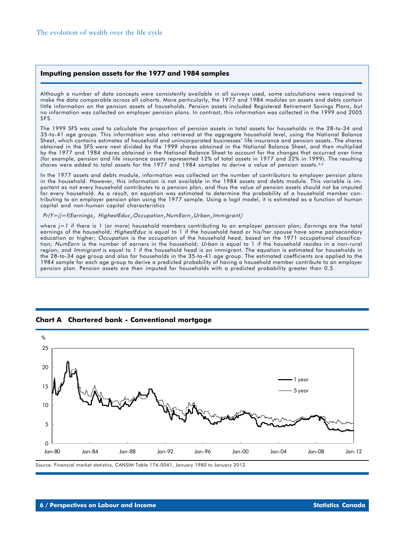#### **Imputing pension assets for the 1977 and 1984 samples**

Although a number of data concepts were consistently available in all surveys used, some calculations were required to make the data comparable across all cohorts. More particularly, the 1977 and 1984 modules on assets and debts contain little information on the pension assets of households. Pension assets included Registered Retirement Savings Plans, but no information was collected on employer pension plans. In contrast, this information was collected in the 1999 and 2005 SFS.

The 1999 SFS was used to calculate the proportion of pension assets in total assets for households in the 28-to-34 and 35-to-41 age groups. This information was also retrieved at the aggregate household level, using the National Balance Sheet, which contains estimates of household and unincorporated businesses' life insurance and pension assets. The shares obtained in the SFS were next divided by the 1999 shares obtained in the National Balance Sheet, and then multiplied by the 1977 and 1984 shares obtained in the National Balance Sheet to account for the changes that occurred over time (for example, pension and life insurance assets represented 12% of total assets in 1977 and 22% in 1999). The resulting shares were added to total assets for the 1977 and 1984 samples to derive a value of pension assets.<sup>5,6</sup>

In the 1977 assets and debts module, information was collected on the number of contributors to employer pension plans in the household. However, this information is not available in the 1984 assets and debts module. This variable is important as not every household contributes to a pension plan, and thus the value of pension assets should not be imputed for every household. As a result, an equation was estimated to determine the probability of a household member contributing to an employer pension plan using the 1977 sample. Using a logit model, it is estimated as a function of human capital and non-human capital characteristics

#### Pr(Y=j)=f(Earnings<sub>i</sub>, HighestEduc<sub>i</sub>,Occupation<sub>i</sub>,NumEarn<sub>i</sub>,Urban<sub>i</sub>,Immigrant<sub>i</sub>)

where  $j = 1$  if there is 1 (or more) household members contributing to an employer pension plan; Earnings are the total earnings of the household; HighestEduc is equal to 1 if the household head or his/her spouse have some postsecondary education or higher; Occupation is the occupation of the household head, based on the 1971 occupational classification; NumEarn is the number of earners in the household; Urban is equal to 1 if the household resides in a non-rural region; and Immigrant is equal to 1 if the household head is an immigrant. The equation is estimated for households in the 28-to-34 age group and also for households in the 35-to-41 age group. The estimated coefficients are applied to the 1984 sample for each age group to derive a predicted probability of having a household member contribute to an employer pension plan. Pension assets are then imputed for households with a predicted probability greater than 0.5.





Source: Financial market statistics, CANSIM Table 176-0041, January 1980 to January 2012.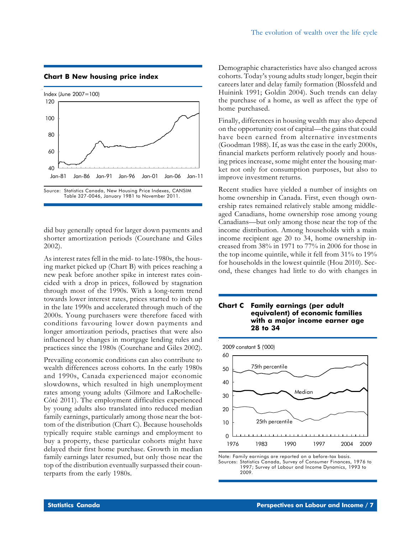## **Chart B New housing price index**



did buy generally opted for larger down payments and shorter amortization periods (Courchane and Giles 2002).

As interest rates fell in the mid- to late-1980s, the housing market picked up (Chart B) with prices reaching a new peak before another spike in interest rates coincided with a drop in prices, followed by stagnation through most of the 1990s. With a long-term trend towards lower interest rates, prices started to inch up in the late 1990s and accelerated through much of the 2000s. Young purchasers were therefore faced with conditions favouring lower down payments and longer amortization periods, practises that were also influenced by changes in mortgage lending rules and practices since the 1980s (Courchane and Giles 2002).

Prevailing economic conditions can also contribute to wealth differences across cohorts. In the early 1980s and 1990s, Canada experienced major economic slowdowns, which resulted in high unemployment rates among young adults (Gilmore and LaRochelle-Côté 2011). The employment difficulties experienced by young adults also translated into reduced median family earnings, particularly among those near the bottom of the distribution (Chart C). Because households typically require stable earnings and employment to buy a property, these particular cohorts might have delayed their first home purchase. Growth in median family earnings later resumed, but only those near the top of the distribution eventually surpassed their counterparts from the early 1980s.

Demographic characteristics have also changed across cohorts. Today's young adults study longer, begin their careers later and delay family formation (Blossfeld and Huinink 1991; Goldin 2004). Such trends can delay the purchase of a home, as well as affect the type of home purchased.

Finally, differences in housing wealth may also depend on the opportunity cost of capital—the gains that could have been earned from alternative investments (Goodman 1988). If, as was the case in the early 2000s, financial markets perform relatively poorly and housing prices increase, some might enter the housing market not only for consumption purposes, but also to improve investment returns.

Recent studies have yielded a number of insights on home ownership in Canada. First, even though ownership rates remained relatively stable among middleaged Canadians, home ownership rose among young Canadians—but only among those near the top of the income distribution. Among households with a main income recipient age 20 to 34, home ownership increased from 38% in 1971 to 77% in 2006 for those in the top income quintile, while it fell from 31% to 19% for households in the lowest quintile (Hou 2010). Second, these changes had little to do with changes in

#### **Chart C Family earnings (per adult equivalent) of economic families with a major income earner age 28 to 34**



Note: Family earnings are reported on a before-tax basis. Sources: Statistics Canada, Survey of Consumer Finances, 1976 to 1997; Survey of Labour and Income Dynamics, 1993 to 2009.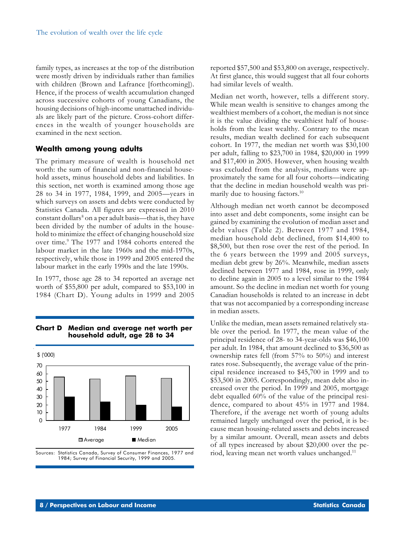family types, as increases at the top of the distribution were mostly driven by individuals rather than families with children (Brown and Lafrance [forthcoming]). Hence, if the process of wealth accumulation changed across successive cohorts of young Canadians, the housing decisions of high-income unattached individuals are likely part of the picture. Cross-cohort differences in the wealth of younger households are examined in the next section.

# **Wealth among young adults**

The primary measure of wealth is household net worth: the sum of financial and non-financial household assets, minus household debts and liabilities. In this section, net worth is examined among those age 28 to 34 in 1977, 1984, 1999, and 2005—years in which surveys on assets and debts were conducted by Statistics Canada. All figures are expressed in 2010 constant dollars<sup>8</sup> on a per adult basis—that is, they have been divided by the number of adults in the household to minimize the effect of changing household size over time.<sup>9</sup> The 1977 and 1984 cohorts entered the labour market in the late 1960s and the mid-1970s, respectively, while those in 1999 and 2005 entered the labour market in the early 1990s and the late 1990s.

In 1977, those age 28 to 34 reported an average net worth of \$55,800 per adult, compared to \$53,100 in 1984 (Chart D). Young adults in 1999 and 2005



# **Chart D Median and average net worth per household adult, age 28 to 34**

Sources: Statistics Canada, Survey of Consumer Finances, 1977 and 1984; Survey of Financial Security, 1999 and 2005.

reported \$57,500 and \$53,800 on average, respectively. At first glance, this would suggest that all four cohorts had similar levels of wealth.

Median net worth, however, tells a different story. While mean wealth is sensitive to changes among the wealthiest members of a cohort, the median is not since it is the value dividing the wealthiest half of households from the least wealthy. Contrary to the mean results, median wealth declined for each subsequent cohort. In 1977, the median net worth was \$30,100 per adult, falling to \$23,700 in 1984, \$20,000 in 1999 and \$17,400 in 2005. However, when housing wealth was excluded from the analysis, medians were approximately the same for all four cohorts—indicating that the decline in median household wealth was primarily due to housing factors.<sup>10</sup>

Although median net worth cannot be decomposed into asset and debt components, some insight can be gained by examining the evolution of median asset and debt values (Table 2). Between 1977 and 1984, median household debt declined, from \$14,400 to \$8,500, but then rose over the rest of the period. In the 6 years between the 1999 and 2005 surveys, median debt grew by 26%. Meanwhile, median assets declined between 1977 and 1984, rose in 1999, only to decline again in 2005 to a level similar to the 1984 amount. So the decline in median net worth for young Canadian households is related to an increase in debt that was not accompanied by a corresponding increase in median assets.

Unlike the median, mean assets remained relatively stable over the period. In 1977, the mean value of the principal residence of 28- to 34-year-olds was \$46,100 per adult. In 1984, that amount declined to \$36,500 as ownership rates fell (from 57% to 50%) and interest rates rose. Subsequently, the average value of the principal residence increased to \$45,700 in 1999 and to \$53,500 in 2005. Correspondingly, mean debt also increased over the period. In 1999 and 2005, mortgage debt equalled 60% of the value of the principal residence, compared to about 45% in 1977 and 1984. Therefore, if the average net worth of young adults remained largely unchanged over the period, it is because mean housing-related assets and debts increased by a similar amount. Overall, mean assets and debts of all types increased by about \$20,000 over the period, leaving mean net worth values unchanged.11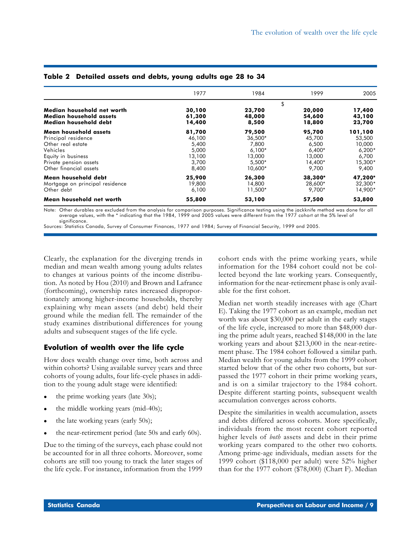| 1977                                                           | 1984                                                                  | 1999                                                                | 2005                                                                 |
|----------------------------------------------------------------|-----------------------------------------------------------------------|---------------------------------------------------------------------|----------------------------------------------------------------------|
|                                                                | \$                                                                    |                                                                     |                                                                      |
| 30,100<br>61,300<br>14,400                                     | 23,700<br>48,000<br>8,500                                             | 20,000<br>54,600<br>18,800                                          | 17,400<br>43,100<br>23,700                                           |
| 81,700<br>46,100<br>5,400<br>5,000<br>13,100<br>3,700<br>8,400 | 79,500<br>36,500*<br>7.800<br>$6.100*$<br>13,000<br>5.500*<br>10,600* | 95,700<br>45,700<br>6,500<br>$6.400*$<br>13,000<br>14,400*<br>9,700 | 101,100<br>53,500<br>10,000<br>$6,200*$<br>6,700<br>15,300*<br>9,400 |
| 25,900<br>19,800<br>6,100                                      | 26,300<br>14,800<br>11,500*                                           | 38,300*<br>28,600*<br>9.700*                                        | 47,200*<br>32,300*<br>14,900*                                        |
| 55,800                                                         | 53,100                                                                | 57,500                                                              | 53,800                                                               |
|                                                                |                                                                       |                                                                     |                                                                      |

# **Table 2 Detailed assets and debts, young adults age 28 to 34**

Note: Other durables are excluded from the analysis for comparison purposes. Significance testing using the jackknife method was done for all average values, with the \* indicating that the 1984, 1999 and 2005 values were different from the 1977 cohort at the 5% level of significance.

Sources: Statistics Canada, Survey of Consumer Finances, 1977 and 1984; Survey of Financial Security, 1999 and 2005.

Clearly, the explanation for the diverging trends in median and mean wealth among young adults relates to changes at various points of the income distribution. As noted by Hou (2010) and Brown and Lafrance (forthcoming), ownership rates increased disproportionately among higher-income households, thereby explaining why mean assets (and debt) held their ground while the median fell. The remainder of the study examines distributional differences for young adults and subsequent stages of the life cycle.

# **Evolution of wealth over the life cycle**

How does wealth change over time, both across and within cohorts? Using available survey years and three cohorts of young adults, four life-cycle phases in addition to the young adult stage were identified:

- the prime working years (late 30s);
- the middle working years (mid-40s);
- the late working years (early 50s);
- the near-retirement period (late 50s and early 60s).

Due to the timing of the surveys, each phase could not be accounted for in all three cohorts. Moreover, some cohorts are still too young to track the later stages of the life cycle. For instance, information from the 1999

cohort ends with the prime working years, while information for the 1984 cohort could not be collected beyond the late working years. Consequently, information for the near-retirement phase is only available for the first cohort.

Median net worth steadily increases with age (Chart E). Taking the 1977 cohort as an example, median net worth was about \$30,000 per adult in the early stages of the life cycle, increased to more than \$48,000 during the prime adult years, reached \$148,000 in the late working years and about \$213,000 in the near-retirement phase. The 1984 cohort followed a similar path. Median wealth for young adults from the 1999 cohort started below that of the other two cohorts, but surpassed the 1977 cohort in their prime working years, and is on a similar trajectory to the 1984 cohort. Despite different starting points, subsequent wealth accumulation converges across cohorts.

Despite the similarities in wealth accumulation, assets and debts differed across cohorts. More specifically, individuals from the most recent cohort reported higher levels of *both* assets and debt in their prime working years compared to the other two cohorts*.* Among prime-age individuals, median assets for the 1999 cohort (\$118,000 per adult) were 52% higher than for the 1977 cohort (\$78,000) (Chart F). Median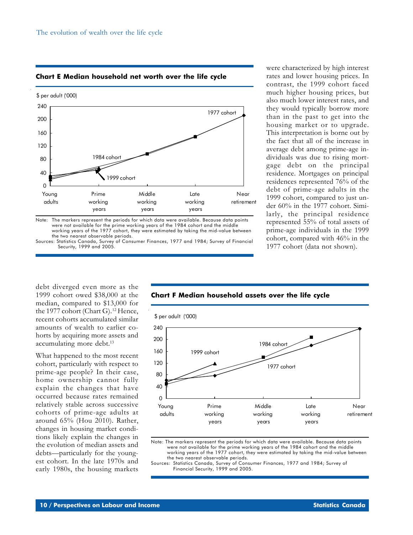

**Chart E Median household net worth over the life cycle**

Note: The markers represent the periods for which data were available. Because data points were not available for the prime working years of the 1984 cohort and the middle working years of the 1977 cohort, they were estimated by taking the mid-value between the two nearest observable periods.

Sources: Statistics Canada, Survey of Consumer Finances, 1977 and 1984; Survey of Financial Security, 1999 and 2005.

rates and lower housing prices. In contrast, the 1999 cohort faced much higher housing prices, but also much lower interest rates, and they would typically borrow more than in the past to get into the housing market or to upgrade. This interpretation is borne out by the fact that all of the increase in average debt among prime-age individuals was due to rising mortgage debt on the principal residence. Mortgages on principal residences represented 76% of the debt of prime-age adults in the 1999 cohort, compared to just under 60% in the 1977 cohort. Similarly, the principal residence represented 55% of total assets of prime-age individuals in the 1999 cohort, compared with 46% in the 1977 cohort (data not shown).

were characterized by high interest

debt diverged even more as the 1999 cohort owed \$38,000 at the median, compared to \$13,000 for the 1977 cohort (Chart G).<sup>12</sup> Hence, recent cohorts accumulated similar amounts of wealth to earlier cohorts by acquiring more assets and accumulating more debt.<sup>13</sup>

What happened to the most recent cohort, particularly with respect to prime-age people? In their case, home ownership cannot fully explain the changes that have occurred because rates remained relatively stable across successive cohorts of prime-age adults at around 65% (Hou 2010). Rather, changes in housing market conditions likely explain the changes in the evolution of median assets and debts—particularly for the youngest cohort. In the late 1970s and early 1980s, the housing markets



# **Chart F Median household assets over the life cycle**

Note: The markers represent the periods for which data were available. Because data points were not available for the prime working years of the 1984 cohort and the middle working years of the 1977 cohort, they were estimated by taking the mid-value between the two nearest observable periods.

Sources: Statistics Canada, Survey of Consumer Finances, 1977 and 1984; Survey of Financial Security, 1999 and 2005.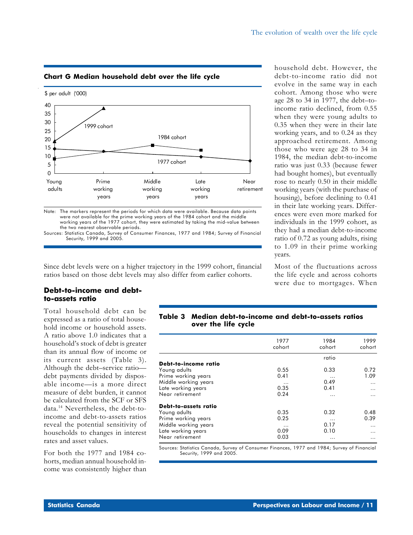# **Chart G Median household debt over the life cycle**



Note: The markers represent the periods for which data were available. Because data points were not available for the prime working years of the 1984 cohort and the middle working years of the 1977 cohort, they were estimated by taking the mid-value between the two nearest observable periods.

Sources: Statistics Canada, Survey of Consumer Finances, 1977 and 1984; Survey of Financial Security, 1999 and 2005.

Since debt levels were on a higher trajectory in the 1999 cohort, financial ratios based on those debt levels may also differ from earlier cohorts.

# **Debt-to-income and debtto-assets ratio**

Total household debt can be expressed as a ratio of total household income or household assets. A ratio above 1.0 indicates that a household's stock of debt is greater than its annual flow of income or its current assets (Table 3). Although the debt–service ratio debt payments divided by disposable income—is a more direct measure of debt burden, it cannot be calculated from the SCF or SFS data.14 Nevertheless, the debt-toincome and debt-to-assets ratios reveal the potential sensitivity of households to changes in interest rates and asset values.

For both the 1977 and 1984 cohorts, median annual household income was consistently higher than

household debt. However, the debt-to-income ratio did not evolve in the same way in each cohort. Among those who were age 28 to 34 in 1977, the debt–toincome ratio declined, from 0.55 when they were young adults to 0.35 when they were in their late working years, and to 0.24 as they approached retirement. Among those who were age 28 to 34 in 1984, the median debt-to-income ratio was just 0.33 (because fewer had bought homes), but eventually rose to nearly 0.50 in their middle working years (with the purchase of housing), before declining to 0.41 in their late working years. Differences were even more marked for individuals in the 1999 cohort, as they had a median debt-to-income ratio of 0.72 as young adults, rising to 1.09 in their prime working years.

Most of the fluctuations across the life cycle and across cohorts were due to mortgages. When

# **Table 3 Median debt-to-income and debt-to-assets ratios over the life cycle**

|                      | 1977<br>cohort | 1984<br>cohort | 1999<br>cohort |
|----------------------|----------------|----------------|----------------|
|                      |                | ratio          |                |
| Debt-to-income ratio |                |                |                |
| Young adults         | 0.55           | 0.33           | 0.72           |
| Prime working years  | 0.41           | .              | 1.09           |
| Middle working years | .              | 0.49           | $\cdots$       |
| Late working years   | 0.35           | 0.41           | .              |
| Near retirement      | 0.24           |                | .              |
| Debt-to-assets ratio |                |                |                |
| Young adults         | 0.35           | 0.32           | 0.48           |
| Prime working years  | 0.25           | $\cdots$       | 0.39           |
| Middle working years | $\cdots$       | 0.17           | $\cdots$       |
| Late working years   | 0.09           | 0.10           | .              |
| Near retirement      | 0.03           | $\cdots$       | .              |

Sources: Statistics Canada, Survey of Consumer Finances, 1977 and 1984; Survey of Financial Security, 1999 and 2005.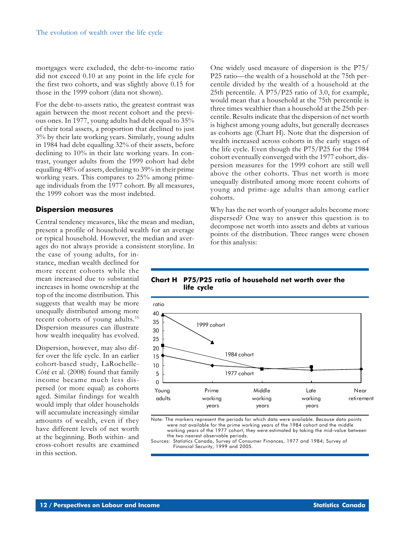mortgages were excluded, the debt-to-income ratio did not exceed 0.10 at any point in the life cycle for the first two cohorts, and was slightly above 0.15 for those in the 1999 cohort (data not shown).

For the debt-to-assets ratio, the greatest contrast was again between the most recent cohort and the previous ones. In 1977, young adults had debt equal to 35% of their total assets, a proportion that declined to just 3% by their late working years. Similarly, young adults in 1984 had debt equalling 32% of their assets, before declining to 10% in their late working years. In contrast, younger adults from the 1999 cohort had debt equalling 48% of assets, declining to 39% in their prime working years. This compares to 25% among primeage individuals from the 1977 cohort. By all measures, the 1999 cohort was the most indebted.

## **Dispersion measures**

Central tendency measures, like the mean and median, present a profile of household wealth for an average or typical household. However, the median and averages do not always provide a consistent storyline. In

the case of young adults, for instance, median wealth declined for more recent cohorts while the mean increased due to substantial increases in home ownership at the top of the income distribution. This suggests that wealth may be more unequally distributed among more recent cohorts of young adults.15 Dispersion measures can illustrate how wealth inequality has evolved.

Dispersion, however, may also differ over the life cycle. In an earlier cohort-based study, LaRochelle-Côté et al. (2008) found that family income became much less dispersed (or more equal) as cohorts aged. Similar findings for wealth would imply that older households will accumulate increasingly similar amounts of wealth, even if they have different levels of net worth at the beginning. Both within- and cross-cohort results are examined in this section.

One widely used measure of dispersion is the P75/ P25 ratio—the wealth of a household at the 75th percentile divided by the wealth of a household at the 25th percentile. A P75/P25 ratio of 3.0, for example, would mean that a household at the 75th percentile is three times wealthier than a household at the 25th percentile. Results indicate that the dispersion of net worth is highest among young adults, but generally decreases as cohorts age (Chart H). Note that the dispersion of wealth increased across cohorts in the early stages of the life cycle. Even though the P75/P25 for the 1984 cohort eventually converged with the 1977 cohort, dispersion measures for the 1999 cohort are still well above the other cohorts. Thus net worth is more unequally distributed among more recent cohorts of young and prime-age adults than among earlier cohorts.

Why has the net worth of younger adults become more dispersed? One way to answer this question is to decompose net worth into assets and debts at various points of the distribution. Three ranges were chosen for this analysis:

## **Chart H P75/P25 ratio of household net worth over the life cycle**



Note: The markers represent the periods for which data were available. Because data points were not available for the prime working years of the 1984 cohort and the middle working years of the 1977 cohort, they were estimated by taking the mid-value between the two nearest observable periods. Sources: Statistics Canada, Survey of Consumer Finances, 1977 and 1984; Survey of

Financial Security, 1999 and 2005.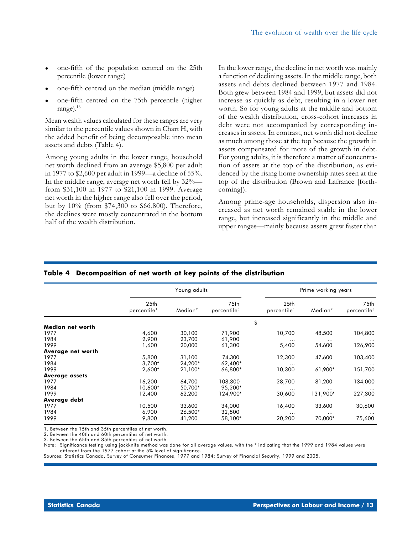- one-fifth of the population centred on the 25th percentile (lower range)
- one-fifth centred on the median (middle range)
- one-fifth centred on the 75th percentile (higher range).16

Mean wealth values calculated for these ranges are very similar to the percentile values shown in Chart H, with the added benefit of being decomposable into mean assets and debts (Table 4).

Among young adults in the lower range, household net worth declined from an average \$5,800 per adult in 1977 to \$2,600 per adult in 1999—a decline of 55%. In the middle range, average net worth fell by 32% from \$31,100 in 1977 to \$21,100 in 1999. Average net worth in the higher range also fell over the period, but by 10% (from \$74,300 to \$66,800). Therefore, the declines were mostly concentrated in the bottom half of the wealth distribution.

In the lower range, the decline in net worth was mainly a function of declining assets. In the middle range, both assets and debts declined between 1977 and 1984. Both grew between 1984 and 1999, but assets did not increase as quickly as debt, resulting in a lower net worth. So for young adults at the middle and bottom of the wealth distribution, cross-cohort increases in debt were not accompanied by corresponding increases in assets. In contrast, net worth did not decline as much among those at the top because the growth in assets compensated for more of the growth in debt. For young adults, it is therefore a matter of concentration of assets at the top of the distribution, as evidenced by the rising home ownership rates seen at the top of the distribution (Brown and Lafrance [forthcoming]).

Among prime-age households, dispersion also increased as net worth remained stable in the lower range, but increased significantly in the middle and upper ranges—mainly because assets grew faster than

|                       | Young adults                                |                     |                                 |                                             | Prime working years |                                 |
|-----------------------|---------------------------------------------|---------------------|---------------------------------|---------------------------------------------|---------------------|---------------------------------|
|                       | 25 <sub>th</sub><br>percentile <sup>1</sup> | Median <sup>2</sup> | 75th<br>percentile <sup>3</sup> | 25 <sub>th</sub><br>percentile <sup>1</sup> | Median <sup>2</sup> | 75th<br>percentile <sup>3</sup> |
|                       |                                             |                     |                                 | \$                                          |                     |                                 |
| Median net worth      |                                             |                     |                                 |                                             |                     |                                 |
| 1977                  | 4,600                                       | 30,100              | 71,900                          | 10,700                                      | 48,500              | 104,800                         |
| 1984                  | 2,900                                       | 23,700              | 61,900                          |                                             | $\cdots$            |                                 |
| 1999                  | 1,600                                       | 20,000              | 61,300                          | 5,400                                       | 54,600              | 126,900                         |
| Average net worth     |                                             |                     |                                 |                                             |                     |                                 |
| 1977                  | 5,800                                       | 31,100              | 74,300                          | 12,300                                      | 47,600              | 103,400                         |
| 1984                  | $3,700*$                                    | 24,200*             | 62,400*                         | $\cdots$                                    | .                   | $\cdots$                        |
| 1999                  | 2,600*                                      | 21,100*             | 66,800*                         | 10,300                                      | 61,900*             | 151,700                         |
| <b>Average assets</b> |                                             |                     |                                 |                                             |                     |                                 |
| 1977                  | 16,200                                      | 64,700              | 108,300                         | 28,700                                      | 81,200              | 134,000                         |
| 1984                  | 10,600*                                     | 50,700*             | 95,200*                         | $\cdots$                                    | .                   | $\cdots$                        |
| 1999                  | 12,400                                      | 62,200              | 124,900*                        | 30,600                                      | 131,900*            | 227,300                         |
| Average debt          |                                             |                     |                                 |                                             |                     |                                 |
| 1977                  | 10,500                                      | 33,600              | 34,000                          | 16,400                                      | 33,600              | 30,600                          |
| 1984                  | 6,900                                       | 26,500*             | 32,800                          | $\cdots$                                    | $\cdots$            | $\cdots$                        |
| 1999                  | 9,800                                       | 41,200              | 58,100*                         | 20,200                                      | 70,000*             | 75,600                          |

# **Table 4 Decomposition of net worth at key points of the distribution**

1. Between the 15th and 35th percentiles of net worth.

2. Between the 40th and 60th percentiles of net worth.

3. Between the 65th and 85th percentiles of net worth.

Significance testing using jackknife method was done for all average values, with the \* indicating that the 1999 and 1984 values were different from the 1977 cohort at the 5% level of significance.

Sources: Statistics Canada, Survey of Consumer Finances, 1977 and 1984; Survey of Financial Security, 1999 and 2005.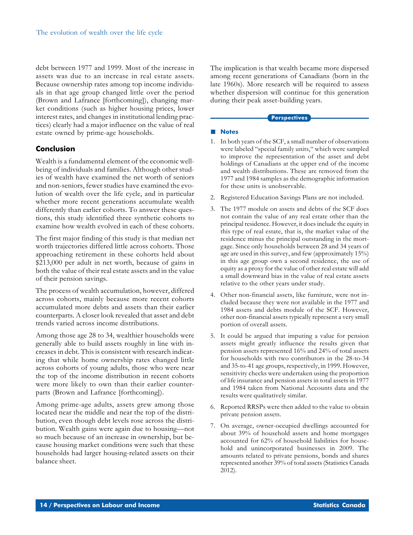debt between 1977 and 1999. Most of the increase in assets was due to an increase in real estate assets. Because ownership rates among top income individuals in that age group changed little over the period (Brown and Lafrance [forthcoming]), changing market conditions (such as higher housing prices, lower interest rates, and changes in institutional lending practices) clearly had a major influence on the value of real estate owned by prime-age households.

# **Conclusion**

Wealth is a fundamental element of the economic wellbeing of individuals and families. Although other studies of wealth have examined the net worth of seniors and non-seniors, fewer studies have examined the evolution of wealth over the life cycle, and in particular whether more recent generations accumulate wealth differently than earlier cohorts. To answer these questions, this study identified three synthetic cohorts to examine how wealth evolved in each of these cohorts.

The first major finding of this study is that median net worth trajectories differed little across cohorts. Those approaching retirement in these cohorts held about \$213,000 per adult in net worth, because of gains in both the value of their real estate assets and in the value of their pension savings.

The process of wealth accumulation, however, differed across cohorts, mainly because more recent cohorts accumulated more debts and assets than their earlier counterparts. A closer look revealed that asset and debt trends varied across income distributions.

Among those age 28 to 34, wealthier households were generally able to build assets roughly in line with increases in debt. This is consistent with research indicating that while home ownership rates changed little across cohorts of young adults, those who were near the top of the income distribution in recent cohorts were more likely to own than their earlier counterparts (Brown and Lafrance [forthcoming]).

Among prime-age adults, assets grew among those located near the middle and near the top of the distribution, even though debt levels rose across the distribution. Wealth gains were again due to housing—not so much because of an increase in ownership, but because housing market conditions were such that these households had larger housing-related assets on their balance sheet.

The implication is that wealth became more dispersed among recent generations of Canadians (born in the late 1960s). More research will be required to assess whether dispersion will continue for this generation during their peak asset-building years.

#### **Perspectives**

## **Notes**

- 1. In both years of the SCF, a small number of observations were labeled "special family units," which were sampled to improve the representation of the asset and debt holdings of Canadians at the upper end of the income and wealth distributions. These are removed from the 1977 and 1984 samples as the demographic information for these units is unobservable.
- 2. Registered Education Savings Plans are not included.
- 3. The 1977 module on assets and debts of the SCF does not contain the value of any real estate other than the principal residence. However, it does include the equity in this type of real estate, that is, the market value of the residence minus the principal outstanding in the mortgage. Since only households between 28 and 34 years of age are used in this survey, and few (approximately 15%) in this age group own a second residence, the use of equity as a proxy for the value of other real estate will add a small downward bias in the value of real estate assets relative to the other years under study.
- 4. Other non-financial assets, like furniture, were not included because they were not available in the 1977 and 1984 assets and debts module of the SCF. However, other non-financial assets typically represent a very small portion of overall assets.
- 5. It could be argued that imputing a value for pension assets might greatly influence the results given that pension assets represented 16% and 24% of total assets for households with two contributors in the 28-to-34 and 35-to-41 age groups, respectively, in 1999. However, sensitivity checks were undertaken using the proportion of life insurance and pension assets in total assets in 1977 and 1984 taken from National Accounts data and the results were qualitatively similar.
- 6. Reported RRSPs were then added to the value to obtain private pension assets.
- 7. On average, owner-occupied dwellings accounted for about 39% of household assets and home mortgages accounted for 62% of household liabilities for household and unincorporated businesses in 2009. The amounts related to private pensions, bonds and shares represented another 39% of total assets (Statistics Canada 2012).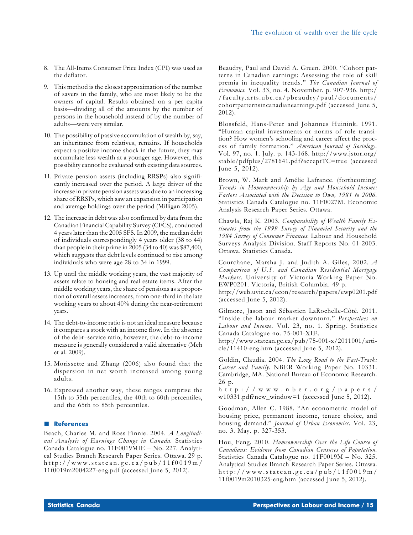- 8. The All-Items Consumer Price Index (CPI) was used as the deflator.
- 9. This method is the closest approximation of the number of savers in the family, who are most likely to be the owners of capital. Results obtained on a per capita basis—dividing all of the amounts by the number of persons in the household instead of by the number of adults—were very similar.
- 10. The possibility of passive accumulation of wealth by, say, an inheritance from relatives, remains. If households expect a positive income shock in the future, they may accumulate less wealth at a younger age. However, this possibility cannot be evaluated with existing data sources.
- 11. Private pension assets (including RRSPs) also significantly increased over the period. A large driver of the increase in private pension assets was due to an increasing share of RRSPs, which saw an expansion in participation and average holdings over the period (Milligan 2005).
- 12. The increase in debt was also confirmed by data from the Canadian Financial Capability Survey (CFCS), conducted 4 years later than the 2005 SFS. In 2009, the median debt of individuals correspondingly 4 years older (38 to 44) than people in their prime in 2005 (34 to 40) was \$87,400, which suggests that debt levels continued to rise among individuals who were age 28 to 34 in 1999.
- 13. Up until the middle working years, the vast majority of assets relate to housing and real estate items. After the middle working years, the share of pensions as a proportion of overall assets increases, from one-third in the late working years to about 40% during the near-retirement years.
- 14. The debt-to-income ratio is not an ideal measure because it compares a stock with an income flow. In the absence of the debt–service ratio, however, the debt-to-income measure is generally considered a valid alternative (Meh et al. 2009).
- 15. Morissette and Zhang (2006) also found that the dispersion in net worth increased among young adults.
- 16. Expressed another way, these ranges comprise the 15th to 35th percentiles, the 40th to 60th percentiles, and the 65th to 85th percentiles.

### **References**

Beach, Charles M. and Ross Finnie. 2004. *A Longitudinal Analysis of Earnings Change in Canada*. Statistics Canada Catalogue no. 11F0019MIE – No. 227. Analytical Studies Branch Research Paper Series. Ottawa. 29 p. http://www.statcan.gc.ca/pub/11f0019m/ 11f0019m2004227-eng.pdf (accessed June 5, 2012).

Beaudry, Paul and David A. Green. 2000. "Cohort patterns in Canadian earnings: Assessing the role of skill premia in inequality trends." *The Canadian Journal of Economics.* Vol. 33, no. 4. November. p. 907-936. http:/ /faculty.arts.ubc.ca/pbeaudry/paul/documents/ cohortpatternsincanadianearnings.pdf (accessed June 5, 2012).

Blossfeld, Hans-Peter and Johannes Huinink. 1991. "Human capital investments or norms of role transition? How women's schooling and career affect the process of family formation." *American Journal of Sociology.* Vol. 97, no. 1. July. p. 143-168. http://www.jstor.org/ stable/pdfplus/2781641.pdf?acceptTC=true (accessed June 5, 2012).

Brown, W. Mark and Amélie Lafrance. (forthcoming) *Trends in Homeownership by Age and Household Income: Factors Associated with the Decision to Own, 1981 to 2006.* Statistics Canada Catalogue no. 11F0027M. Economic Analysis Research Paper Series. Ottawa.

Chawla, Raj K. 2003. *Comparability of Wealth Family Estimates from the 1999 Survey of Financial Security and the 1984 Survey of Consumer Finances.* Labour and Household Surveys Analysis Division. Staff Reports No. 01-2003. Ottawa. Statistics Canada.

Courchane, Marsha J. and Judith A. Giles, 2002. *A Comparison of U.S. and Canadian Residential Mortgage Markets.* University of Victoria Working Paper No. EWP0201. Victoria, British Columbia. 49 p.

http://web.uvic.ca/econ/research/papers/ewp0201.pdf (accessed June 5, 2012).

Gilmore, Jason and Sébastien LaRochelle-Côté. 2011. "Inside the labour market downturn." *Perspectives on Labour and Income.* Vol. 23, no. 1. Spring. Statistics Canada Catalogue no. 75-001-XIE.

http://www.statcan.gc.ca/pub/75-001-x/2011001/article/11410-eng.htm (accessed June 5, 2012).

Goldin, Claudia. 2004. *The Long Road to the Fast-Track: Career and Family.* NBER Working Paper No. 10331. Cambridge, MA. National Bureau of Economic Research. 26 p.

http://www.nber.org/papers/ w10331.pdf?new\_window=1 (accessed June 5, 2012).

Goodman, Allen C. 1988. "An econometric model of housing price, permanent income, tenure choice, and housing demand." *Journal of Urban Economics.* Vol. 23, no. 3. May. p. 327-353.

Hou, Feng. 2010. *Homeownership Over the Life Course of Canadians: Evidence from Canadian Censuses of Population.* Statistics Canada Catalogue no. 11F0019M – No. 325. Analytical Studies Branch Research Paper Series. Ottawa. http://www.statcan.gc.ca/pub/11f0019m/ 11f0019m2010325-eng.htm (accessed June 5, 2012).